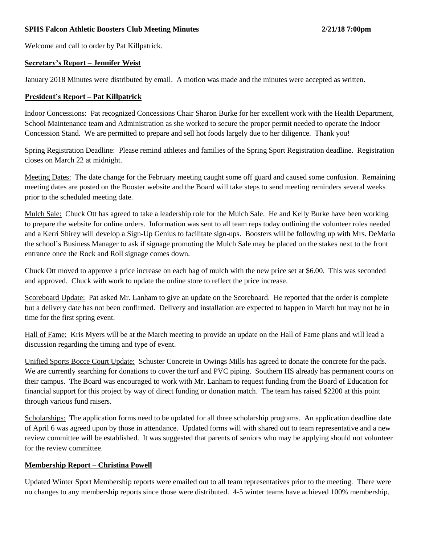#### **SPHS Falcon Athletic Boosters Club Meeting Minutes 2/21/18 7:00pm**

Welcome and call to order by Pat Killpatrick.

#### **Secretary's Report – Jennifer Weist**

January 2018 Minutes were distributed by email. A motion was made and the minutes were accepted as written.

#### **President's Report – Pat Killpatrick**

Indoor Concessions: Pat recognized Concessions Chair Sharon Burke for her excellent work with the Health Department, School Maintenance team and Administration as she worked to secure the proper permit needed to operate the Indoor Concession Stand. We are permitted to prepare and sell hot foods largely due to her diligence. Thank you!

Spring Registration Deadline: Please remind athletes and families of the Spring Sport Registration deadline. Registration closes on March 22 at midnight.

Meeting Dates: The date change for the February meeting caught some off guard and caused some confusion. Remaining meeting dates are posted on the Booster website and the Board will take steps to send meeting reminders several weeks prior to the scheduled meeting date.

Mulch Sale: Chuck Ott has agreed to take a leadership role for the Mulch Sale. He and Kelly Burke have been working to prepare the website for online orders. Information was sent to all team reps today outlining the volunteer roles needed and a Kerri Shirey will develop a Sign-Up Genius to facilitate sign-ups. Boosters will be following up with Mrs. DeMaria the school's Business Manager to ask if signage promoting the Mulch Sale may be placed on the stakes next to the front entrance once the Rock and Roll signage comes down.

Chuck Ott moved to approve a price increase on each bag of mulch with the new price set at \$6.00. This was seconded and approved. Chuck with work to update the online store to reflect the price increase.

Scoreboard Update: Pat asked Mr. Lanham to give an update on the Scoreboard. He reported that the order is complete but a delivery date has not been confirmed. Delivery and installation are expected to happen in March but may not be in time for the first spring event.

Hall of Fame: Kris Myers will be at the March meeting to provide an update on the Hall of Fame plans and will lead a discussion regarding the timing and type of event.

Unified Sports Bocce Court Update: Schuster Concrete in Owings Mills has agreed to donate the concrete for the pads. We are currently searching for donations to cover the turf and PVC piping. Southern HS already has permanent courts on their campus. The Board was encouraged to work with Mr. Lanham to request funding from the Board of Education for financial support for this project by way of direct funding or donation match. The team has raised \$2200 at this point through various fund raisers.

Scholarships: The application forms need to be updated for all three scholarship programs. An application deadline date of April 6 was agreed upon by those in attendance. Updated forms will with shared out to team representative and a new review committee will be established. It was suggested that parents of seniors who may be applying should not volunteer for the review committee.

#### **Membership Report – Christina Powell**

Updated Winter Sport Membership reports were emailed out to all team representatives prior to the meeting. There were no changes to any membership reports since those were distributed. 4-5 winter teams have achieved 100% membership.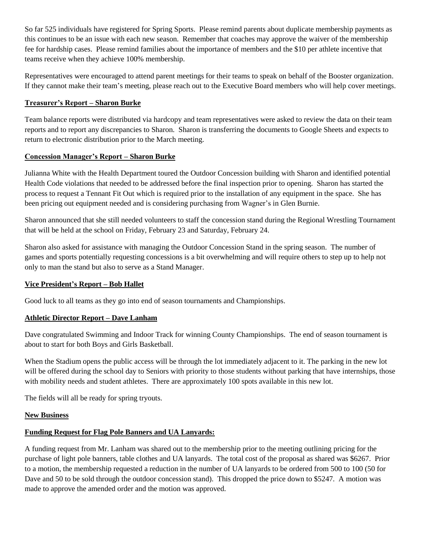So far 525 individuals have registered for Spring Sports. Please remind parents about duplicate membership payments as this continues to be an issue with each new season. Remember that coaches may approve the waiver of the membership fee for hardship cases. Please remind families about the importance of members and the \$10 per athlete incentive that teams receive when they achieve 100% membership.

Representatives were encouraged to attend parent meetings for their teams to speak on behalf of the Booster organization. If they cannot make their team's meeting, please reach out to the Executive Board members who will help cover meetings.

## **Treasurer's Report – Sharon Burke**

Team balance reports were distributed via hardcopy and team representatives were asked to review the data on their team reports and to report any discrepancies to Sharon. Sharon is transferring the documents to Google Sheets and expects to return to electronic distribution prior to the March meeting.

## **Concession Manager's Report – Sharon Burke**

Julianna White with the Health Department toured the Outdoor Concession building with Sharon and identified potential Health Code violations that needed to be addressed before the final inspection prior to opening. Sharon has started the process to request a Tennant Fit Out which is required prior to the installation of any equipment in the space. She has been pricing out equipment needed and is considering purchasing from Wagner's in Glen Burnie.

Sharon announced that she still needed volunteers to staff the concession stand during the Regional Wrestling Tournament that will be held at the school on Friday, February 23 and Saturday, February 24.

Sharon also asked for assistance with managing the Outdoor Concession Stand in the spring season. The number of games and sports potentially requesting concessions is a bit overwhelming and will require others to step up to help not only to man the stand but also to serve as a Stand Manager.

## **Vice President's Report – Bob Hallet**

Good luck to all teams as they go into end of season tournaments and Championships.

## **Athletic Director Report – Dave Lanham**

Dave congratulated Swimming and Indoor Track for winning County Championships. The end of season tournament is about to start for both Boys and Girls Basketball.

When the Stadium opens the public access will be through the lot immediately adjacent to it. The parking in the new lot will be offered during the school day to Seniors with priority to those students without parking that have internships, those with mobility needs and student athletes. There are approximately 100 spots available in this new lot.

The fields will all be ready for spring tryouts.

## **New Business**

# **Funding Request for Flag Pole Banners and UA Lanyards:**

A funding request from Mr. Lanham was shared out to the membership prior to the meeting outlining pricing for the purchase of light pole banners, table clothes and UA lanyards. The total cost of the proposal as shared was \$6267. Prior to a motion, the membership requested a reduction in the number of UA lanyards to be ordered from 500 to 100 (50 for Dave and 50 to be sold through the outdoor concession stand). This dropped the price down to \$5247. A motion was made to approve the amended order and the motion was approved.